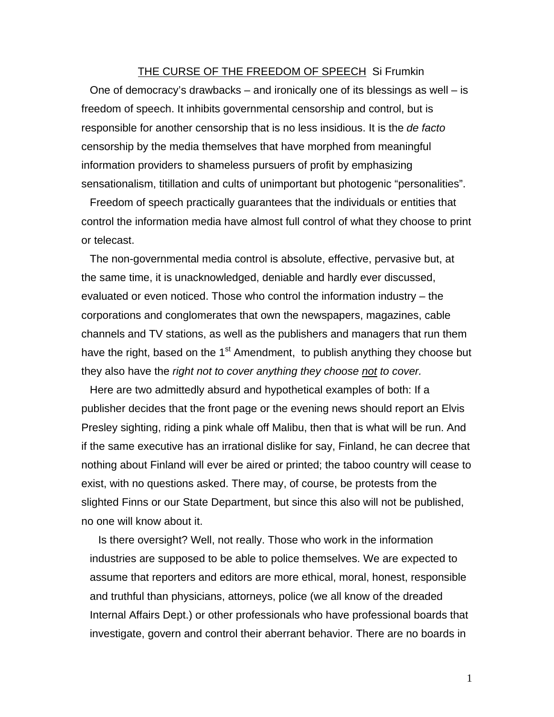## THE CURSE OF THE FREEDOM OF SPEECH Si Frumkin

One of democracy's drawbacks – and ironically one of its blessings as well – is freedom of speech. It inhibits governmental censorship and control, but is responsible for another censorship that is no less insidious. It is the *de facto*  censorship by the media themselves that have morphed from meaningful information providers to shameless pursuers of profit by emphasizing sensationalism, titillation and cults of unimportant but photogenic "personalities".

Freedom of speech practically guarantees that the individuals or entities that control the information media have almost full control of what they choose to print or telecast.

The non-governmental media control is absolute, effective, pervasive but, at the same time, it is unacknowledged, deniable and hardly ever discussed, evaluated or even noticed. Those who control the information industry – the corporations and conglomerates that own the newspapers, magazines, cable channels and TV stations, as well as the publishers and managers that run them have the right, based on the  $1<sup>st</sup>$  Amendment, to publish anything they choose but they also have the *right not to cover anything they choose not to cover.* 

Here are two admittedly absurd and hypothetical examples of both: If a publisher decides that the front page or the evening news should report an Elvis Presley sighting, riding a pink whale off Malibu, then that is what will be run. And if the same executive has an irrational dislike for say, Finland, he can decree that nothing about Finland will ever be aired or printed; the taboo country will cease to exist, with no questions asked. There may, of course, be protests from the slighted Finns or our State Department, but since this also will not be published, no one will know about it.

Is there oversight? Well, not really. Those who work in the information industries are supposed to be able to police themselves. We are expected to assume that reporters and editors are more ethical, moral, honest, responsible and truthful than physicians, attorneys, police (we all know of the dreaded Internal Affairs Dept.) or other professionals who have professional boards that investigate, govern and control their aberrant behavior. There are no boards in

1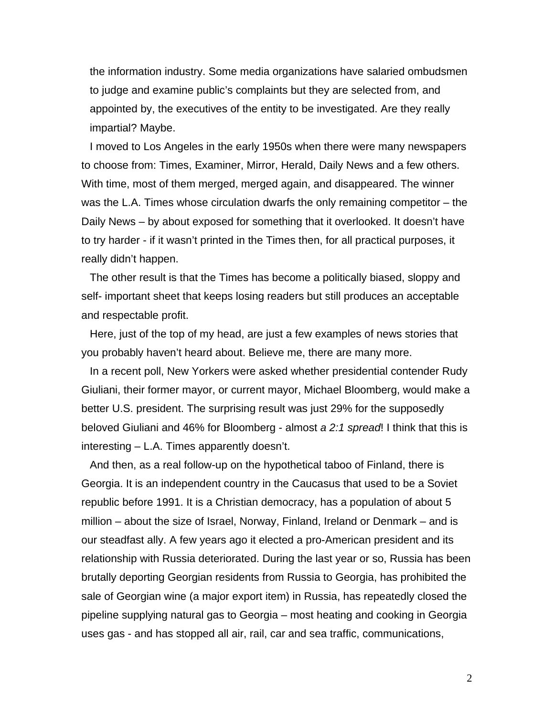the information industry. Some media organizations have salaried ombudsmen to judge and examine public's complaints but they are selected from, and appointed by, the executives of the entity to be investigated. Are they really impartial? Maybe.

I moved to Los Angeles in the early 1950s when there were many newspapers to choose from: Times, Examiner, Mirror, Herald, Daily News and a few others. With time, most of them merged, merged again, and disappeared. The winner was the L.A. Times whose circulation dwarfs the only remaining competitor – the Daily News – by about exposed for something that it overlooked. It doesn't have to try harder - if it wasn't printed in the Times then, for all practical purposes, it really didn't happen.

The other result is that the Times has become a politically biased, sloppy and self- important sheet that keeps losing readers but still produces an acceptable and respectable profit.

Here, just of the top of my head, are just a few examples of news stories that you probably haven't heard about. Believe me, there are many more.

In a recent poll, New Yorkers were asked whether presidential contender Rudy Giuliani, their former mayor, or current mayor, Michael Bloomberg, would make a better U.S. president. The surprising result was just 29% for the supposedly beloved Giuliani and 46% for Bloomberg - almost *a 2:1 spread*! I think that this is interesting – L.A. Times apparently doesn't.

And then, as a real follow-up on the hypothetical taboo of Finland, there is Georgia. It is an independent country in the Caucasus that used to be a Soviet republic before 1991. It is a Christian democracy, has a population of about 5 million – about the size of Israel, Norway, Finland, Ireland or Denmark – and is our steadfast ally. A few years ago it elected a pro-American president and its relationship with Russia deteriorated. During the last year or so, Russia has been brutally deporting Georgian residents from Russia to Georgia, has prohibited the sale of Georgian wine (a major export item) in Russia, has repeatedly closed the pipeline supplying natural gas to Georgia – most heating and cooking in Georgia uses gas - and has stopped all air, rail, car and sea traffic, communications,